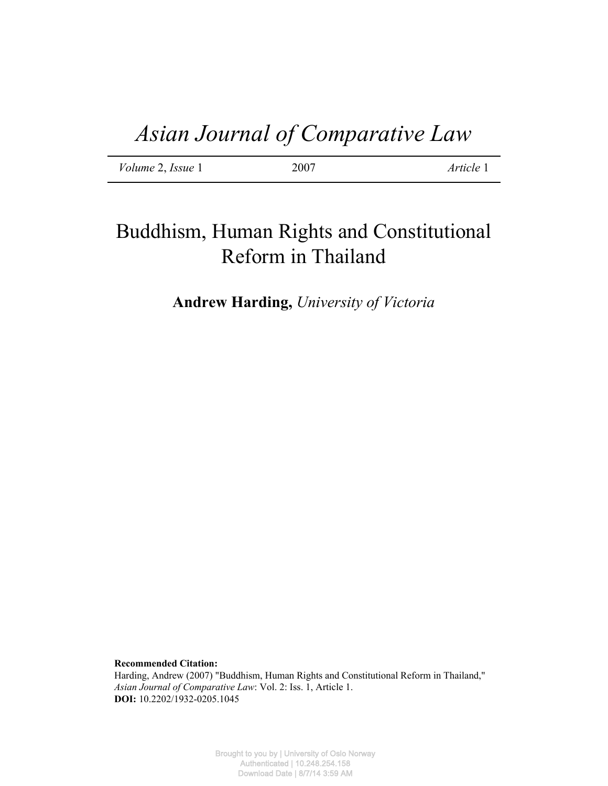## Buddhism, Human Rights and Constitutional Reform in Thailand

**Andrew Harding,** *University of Victoria*

**Recommended Citation:**

Harding, Andrew (2007) "Buddhism, Human Rights and Constitutional Reform in Thailand," *Asian Journal of Comparative Law*: Vol. 2: Iss. 1, Article 1. **DOI:** 10.2202/1932-0205.1045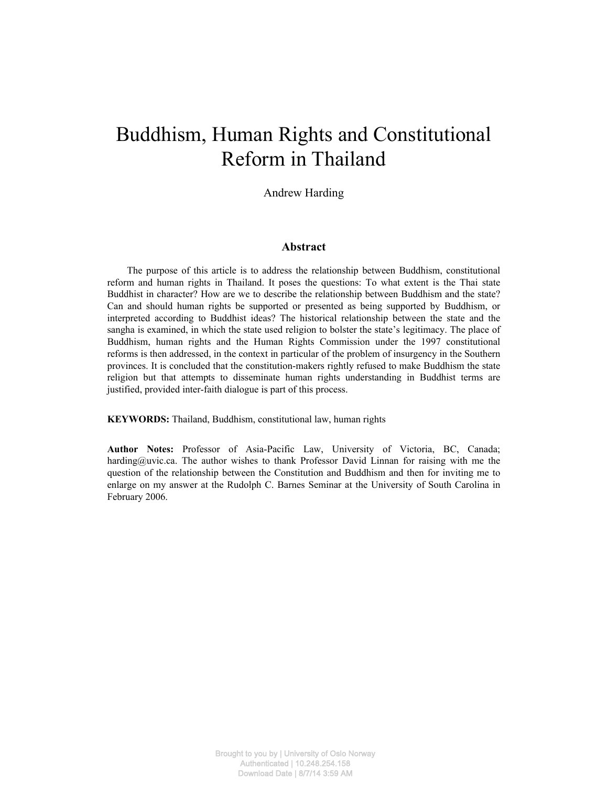# Buddhism, Human Rights and Constitutional Reform in Thailand

Andrew Harding

#### **Abstract**

The purpose of this article is to address the relationship between Buddhism, constitutional reform and human rights in Thailand. It poses the questions: To what extent is the Thai state Buddhist in character? How are we to describe the relationship between Buddhism and the state? Can and should human rights be supported or presented as being supported by Buddhism, or interpreted according to Buddhist ideas? The historical relationship between the state and the sangha is examined, in which the state used religion to bolster the state's legitimacy. The place of Buddhism, human rights and the Human Rights Commission under the 1997 constitutional reforms is then addressed, in the context in particular of the problem of insurgency in the Southern provinces. It is concluded that the constitution-makers rightly refused to make Buddhism the state religion but that attempts to disseminate human rights understanding in Buddhist terms are justified, provided inter-faith dialogue is part of this process.

**KEYWORDS:** Thailand, Buddhism, constitutional law, human rights

**Author Notes:** Professor of Asia-Pacific Law, University of Victoria, BC, Canada; harding@uvic.ca. The author wishes to thank Professor David Linnan for raising with me the question of the relationship between the Constitution and Buddhism and then for inviting me to enlarge on my answer at the Rudolph C. Barnes Seminar at the University of South Carolina in February 2006.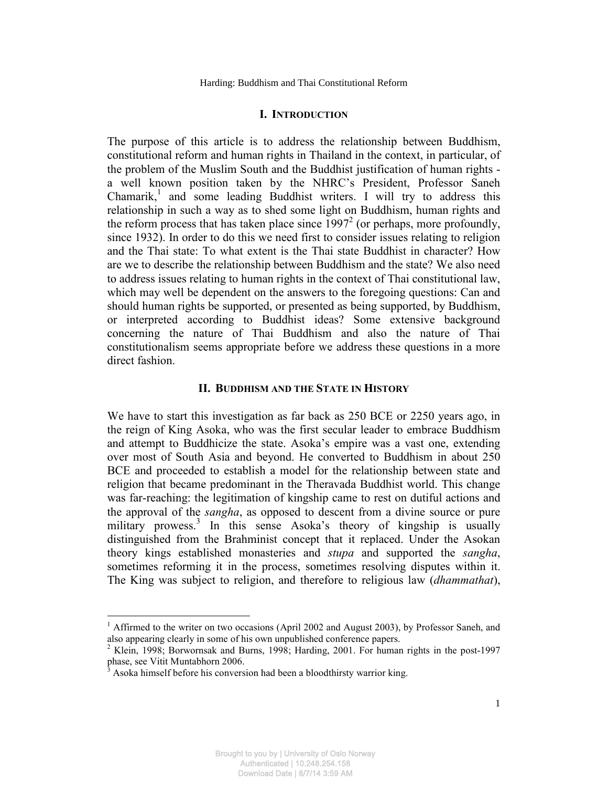#### **I. INTRODUCTION**

The purpose of this article is to address the relationship between Buddhism, constitutional reform and human rights in Thailand in the context, in particular, of the problem of the Muslim South and the Buddhist justification of human rights a well known position taken by the NHRC's President, Professor Saneh Chamarik,<sup>1</sup> and some leading Buddhist writers. I will try to address this relationship in such a way as to shed some light on Buddhism, human rights and the reform process that has taken place since  $1997<sup>2</sup>$  (or perhaps, more profoundly, since 1932). In order to do this we need first to consider issues relating to religion and the Thai state: To what extent is the Thai state Buddhist in character? How are we to describe the relationship between Buddhism and the state? We also need to address issues relating to human rights in the context of Thai constitutional law, which may well be dependent on the answers to the foregoing questions: Can and should human rights be supported, or presented as being supported, by Buddhism, or interpreted according to Buddhist ideas? Some extensive background concerning the nature of Thai Buddhism and also the nature of Thai constitutionalism seems appropriate before we address these questions in a more direct fashion.

## **II. BUDDHISM AND THE STATE IN HISTORY**

We have to start this investigation as far back as 250 BCE or 2250 years ago, in the reign of King Asoka, who was the first secular leader to embrace Buddhism and attempt to Buddhicize the state. Asoka's empire was a vast one, extending over most of South Asia and beyond. He converted to Buddhism in about 250 BCE and proceeded to establish a model for the relationship between state and religion that became predominant in the Theravada Buddhist world. This change was far-reaching: the legitimation of kingship came to rest on dutiful actions and the approval of the *sangha*, as opposed to descent from a divine source or pure military prowess.<sup>3</sup> In this sense Asoka's theory of kingship is usually distinguished from the Brahminist concept that it replaced. Under the Asokan theory kings established monasteries and *stupa* and supported the *sangha*, sometimes reforming it in the process, sometimes resolving disputes within it. The King was subject to religion, and therefore to religious law (*dhammathat*),

 $<sup>1</sup>$  Affirmed to the writer on two occasions (April 2002 and August 2003), by Professor Saneh, and</sup> also appearing clearly in some of his own unpublished conference papers.

<sup>&</sup>lt;sup>2</sup> Klein, 1998; Borwornsak and Burns, 1998; Harding, 2001. For human rights in the post-1997 phase, see Vitit Muntabhorn 2006.

<sup>&</sup>lt;sup>3</sup> Asoka himself before his conversion had been a bloodthirsty warrior king.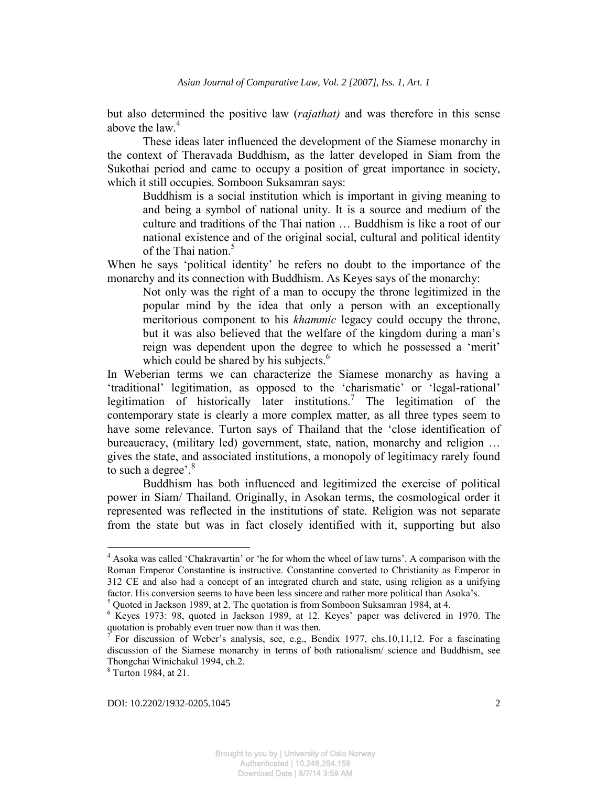but also determined the positive law (*rajathat)* and was therefore in this sense above the law  $4\overline{ }$ 

These ideas later influenced the development of the Siamese monarchy in the context of Theravada Buddhism, as the latter developed in Siam from the Sukothai period and came to occupy a position of great importance in society, which it still occupies. Somboon Suksamran says:

Buddhism is a social institution which is important in giving meaning to and being a symbol of national unity. It is a source and medium of the culture and traditions of the Thai nation … Buddhism is like a root of our national existence and of the original social, cultural and political identity of the Thai nation.<sup>5</sup>

When he says 'political identity' he refers no doubt to the importance of the monarchy and its connection with Buddhism. As Keyes says of the monarchy:

Not only was the right of a man to occupy the throne legitimized in the popular mind by the idea that only a person with an exceptionally meritorious component to his *khammic* legacy could occupy the throne, but it was also believed that the welfare of the kingdom during a man's reign was dependent upon the degree to which he possessed a 'merit' which could be shared by his subjects.<sup>6</sup>

In Weberian terms we can characterize the Siamese monarchy as having a 'traditional' legitimation, as opposed to the 'charismatic' or 'legal-rational' legitimation of historically later institutions.<sup>7</sup> The legitimation of the contemporary state is clearly a more complex matter, as all three types seem to have some relevance. Turton says of Thailand that the 'close identification of bureaucracy, (military led) government, state, nation, monarchy and religion … gives the state, and associated institutions, a monopoly of legitimacy rarely found to such a degree'. $8$ 

Buddhism has both influenced and legitimized the exercise of political power in Siam/ Thailand. Originally, in Asokan terms, the cosmological order it represented was reflected in the institutions of state. Religion was not separate from the state but was in fact closely identified with it, supporting but also

<sup>4</sup> Asoka was called 'Chakravartin' or 'he for whom the wheel of law turns'. A comparison with the Roman Emperor Constantine is instructive. Constantine converted to Christianity as Emperor in 312 CE and also had a concept of an integrated church and state, using religion as a unifying factor. His conversion seems to have been less sincere and rather more political than Asoka's.

 $5$  Quoted in Jackson 1989, at 2. The quotation is from Somboon Suksamran 1984, at 4.

<sup>6</sup> Keyes 1973: 98, quoted in Jackson 1989, at 12. Keyes' paper was delivered in 1970. The quotation is probably even truer now than it was then.

<sup>7</sup> For discussion of Weber's analysis, see, e.g., Bendix 1977, chs.10,11,12. For a fascinating discussion of the Siamese monarchy in terms of both rationalism/ science and Buddhism, see Thongchai Winichakul 1994, ch.2.

<sup>8</sup> Turton 1984, at 21.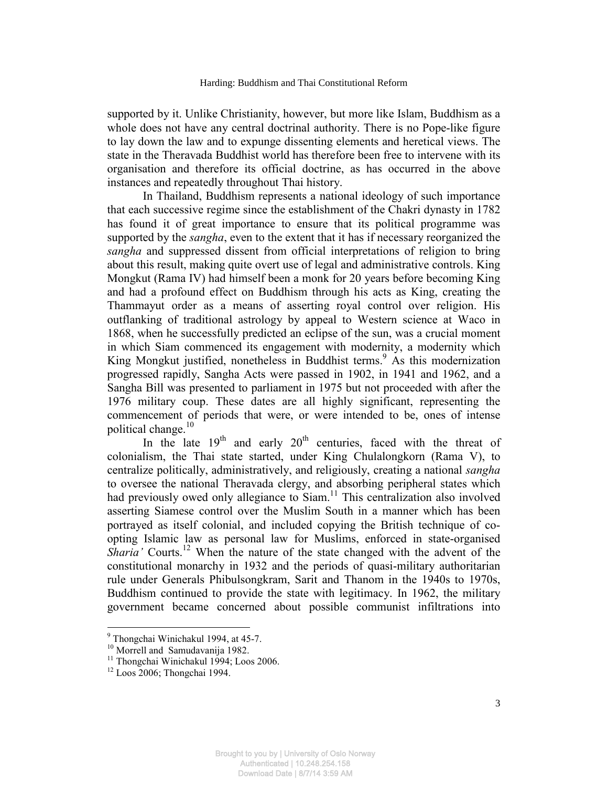supported by it. Unlike Christianity, however, but more like Islam, Buddhism as a whole does not have any central doctrinal authority. There is no Pope-like figure to lay down the law and to expunge dissenting elements and heretical views. The state in the Theravada Buddhist world has therefore been free to intervene with its organisation and therefore its official doctrine, as has occurred in the above instances and repeatedly throughout Thai history.

In Thailand, Buddhism represents a national ideology of such importance that each successive regime since the establishment of the Chakri dynasty in 1782 has found it of great importance to ensure that its political programme was supported by the *sangha*, even to the extent that it has if necessary reorganized the *sangha* and suppressed dissent from official interpretations of religion to bring about this result, making quite overt use of legal and administrative controls. King Mongkut (Rama IV) had himself been a monk for 20 years before becoming King and had a profound effect on Buddhism through his acts as King, creating the Thammayut order as a means of asserting royal control over religion. His outflanking of traditional astrology by appeal to Western science at Waco in 1868, when he successfully predicted an eclipse of the sun, was a crucial moment in which Siam commenced its engagement with modernity, a modernity which King Mongkut justified, nonetheless in Buddhist terms.<sup>9</sup> As this modernization progressed rapidly, Sangha Acts were passed in 1902, in 1941 and 1962, and a Sangha Bill was presented to parliament in 1975 but not proceeded with after the 1976 military coup. These dates are all highly significant, representing the commencement of periods that were, or were intended to be, ones of intense political change. $10<sup>10</sup>$ 

In the late  $19<sup>th</sup>$  and early  $20<sup>th</sup>$  centuries, faced with the threat of colonialism, the Thai state started, under King Chulalongkorn (Rama V), to centralize politically, administratively, and religiously, creating a national *sangha* to oversee the national Theravada clergy, and absorbing peripheral states which had previously owed only allegiance to  $Siam<sup>11</sup>$ . This centralization also involved asserting Siamese control over the Muslim South in a manner which has been portrayed as itself colonial, and included copying the British technique of coopting Islamic law as personal law for Muslims, enforced in state-organised *Sharia'* Courts.12 When the nature of the state changed with the advent of the constitutional monarchy in 1932 and the periods of quasi-military authoritarian rule under Generals Phibulsongkram, Sarit and Thanom in the 1940s to 1970s, Buddhism continued to provide the state with legitimacy. In 1962, the military government became concerned about possible communist infiltrations into

<sup>&</sup>lt;sup>9</sup> Thongchai Winichakul 1994, at 45-7.

<sup>&</sup>lt;sup>10</sup> Morrell and Samudavanija 1982.

 $11$  Thongchai Winichakul 1994; Loos 2006.

 $12$  Loos 2006; Thongchai 1994.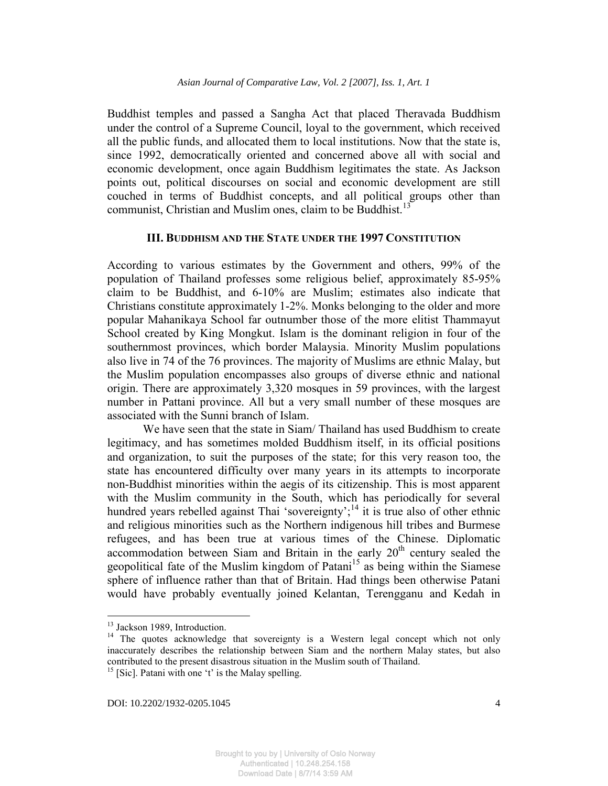Buddhist temples and passed a Sangha Act that placed Theravada Buddhism under the control of a Supreme Council, loyal to the government, which received all the public funds, and allocated them to local institutions. Now that the state is, since 1992, democratically oriented and concerned above all with social and economic development, once again Buddhism legitimates the state. As Jackson points out, political discourses on social and economic development are still couched in terms of Buddhist concepts, and all political groups other than communist, Christian and Muslim ones, claim to be Buddhist.<sup>13</sup>

#### **III. BUDDHISM AND THE STATE UNDER THE 1997 CONSTITUTION**

According to various estimates by the Government and others, 99% of the population of Thailand professes some religious belief, approximately 85-95% claim to be Buddhist, and 6-10% are Muslim; estimates also indicate that Christians constitute approximately 1-2%. Monks belonging to the older and more popular Mahanikaya School far outnumber those of the more elitist Thammayut School created by King Mongkut. Islam is the dominant religion in four of the southernmost provinces, which border Malaysia. Minority Muslim populations also live in 74 of the 76 provinces. The majority of Muslims are ethnic Malay, but the Muslim population encompasses also groups of diverse ethnic and national origin. There are approximately 3,320 mosques in 59 provinces, with the largest number in Pattani province. All but a very small number of these mosques are associated with the Sunni branch of Islam.

We have seen that the state in Siam/ Thailand has used Buddhism to create legitimacy, and has sometimes molded Buddhism itself, in its official positions and organization, to suit the purposes of the state; for this very reason too, the state has encountered difficulty over many years in its attempts to incorporate non-Buddhist minorities within the aegis of its citizenship. This is most apparent with the Muslim community in the South, which has periodically for several hundred years rebelled against Thai 'sovereignty';<sup>14</sup> it is true also of other ethnic and religious minorities such as the Northern indigenous hill tribes and Burmese refugees, and has been true at various times of the Chinese. Diplomatic accommodation between Siam and Britain in the early  $20<sup>th</sup>$  century sealed the geopolitical fate of the Muslim kingdom of Patani<sup>15</sup> as being within the Siamese sphere of influence rather than that of Britain. Had things been otherwise Patani would have probably eventually joined Kelantan, Terengganu and Kedah in

<sup>&</sup>lt;sup>13</sup> Jackson 1989, Introduction.

<sup>&</sup>lt;sup>14</sup> The quotes acknowledge that sovereignty is a Western legal concept which not only inaccurately describes the relationship between Siam and the northern Malay states, but also contributed to the present disastrous situation in the Muslim south of Thailand.

<sup>&</sup>lt;sup>15</sup> [Sic]. Patani with one 't' is the Malay spelling.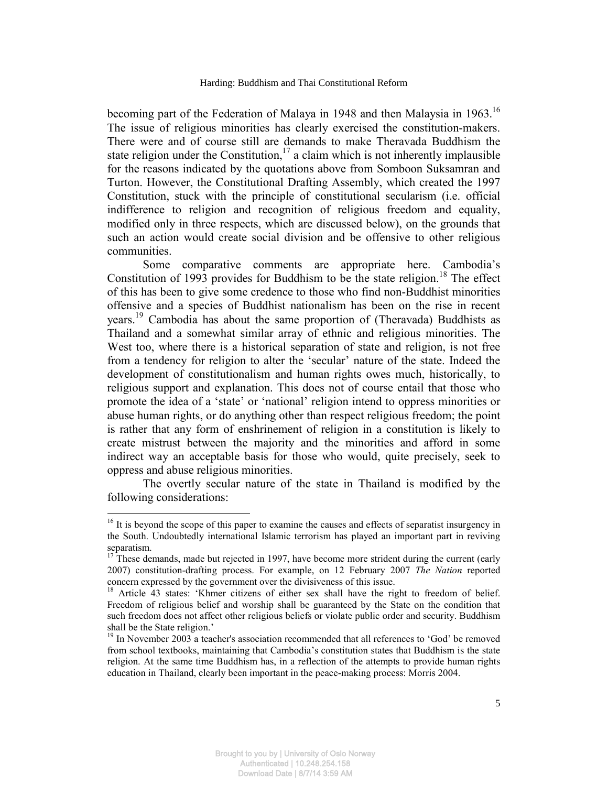becoming part of the Federation of Malaya in 1948 and then Malaysia in 1963.<sup>16</sup> The issue of religious minorities has clearly exercised the constitution-makers. There were and of course still are demands to make Theravada Buddhism the state religion under the Constitution,<sup>17</sup> a claim which is not inherently implausible for the reasons indicated by the quotations above from Somboon Suksamran and Turton. However, the Constitutional Drafting Assembly, which created the 1997 Constitution, stuck with the principle of constitutional secularism (i.e. official indifference to religion and recognition of religious freedom and equality, modified only in three respects, which are discussed below), on the grounds that such an action would create social division and be offensive to other religious communities.

Some comparative comments are appropriate here. Cambodia's Constitution of 1993 provides for Buddhism to be the state religion.<sup>18</sup> The effect of this has been to give some credence to those who find non-Buddhist minorities offensive and a species of Buddhist nationalism has been on the rise in recent years.<sup>19</sup> Cambodia has about the same proportion of (Theravada) Buddhists as Thailand and a somewhat similar array of ethnic and religious minorities. The West too, where there is a historical separation of state and religion, is not free from a tendency for religion to alter the 'secular' nature of the state. Indeed the development of constitutionalism and human rights owes much, historically, to religious support and explanation. This does not of course entail that those who promote the idea of a 'state' or 'national' religion intend to oppress minorities or abuse human rights, or do anything other than respect religious freedom; the point is rather that any form of enshrinement of religion in a constitution is likely to create mistrust between the majority and the minorities and afford in some indirect way an acceptable basis for those who would, quite precisely, seek to oppress and abuse religious minorities.

The overtly secular nature of the state in Thailand is modified by the following considerations:

 $16$  It is beyond the scope of this paper to examine the causes and effects of separatist insurgency in the South. Undoubtedly international Islamic terrorism has played an important part in reviving separatism.

<sup>&</sup>lt;sup>17</sup> These demands, made but rejected in 1997, have become more strident during the current (early 2007) constitution-drafting process. For example, on 12 February 2007 *The Nation* reported concern expressed by the government over the divisiveness of this issue.

<sup>&</sup>lt;sup>18</sup> Article 43 states: 'Khmer citizens of either sex shall have the right to freedom of belief. Freedom of religious belief and worship shall be guaranteed by the State on the condition that such freedom does not affect other religious beliefs or violate public order and security. Buddhism shall be the State religion.'

 $19$  In November 2003 a teacher's association recommended that all references to 'God' be removed from school textbooks, maintaining that Cambodia's constitution states that Buddhism is the state religion. At the same time Buddhism has, in a reflection of the attempts to provide human rights education in Thailand, clearly been important in the peace-making process: Morris 2004.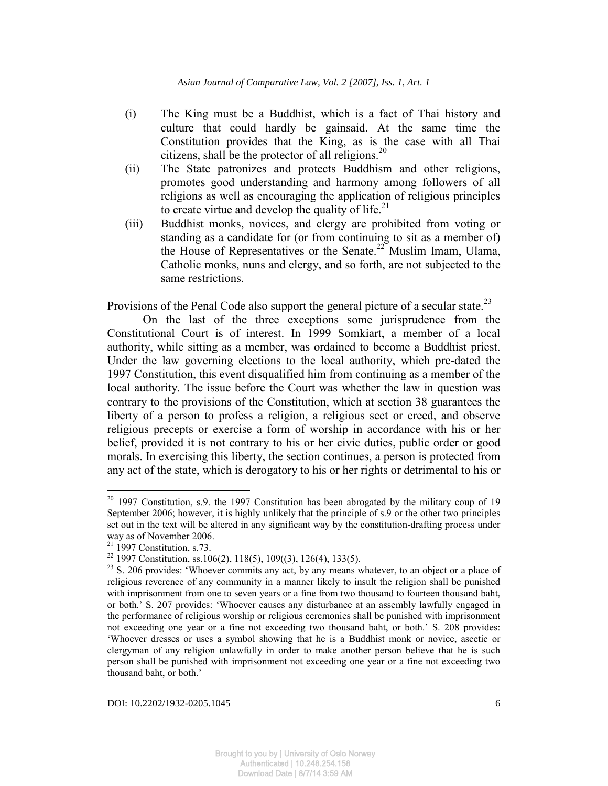- (i) The King must be a Buddhist, which is a fact of Thai history and culture that could hardly be gainsaid. At the same time the Constitution provides that the King, as is the case with all Thai citizens, shall be the protector of all religions.<sup>20</sup>
- (ii) The State patronizes and protects Buddhism and other religions, promotes good understanding and harmony among followers of all religions as well as encouraging the application of religious principles to create virtue and develop the quality of life.<sup>21</sup>
- (iii) Buddhist monks, novices, and clergy are prohibited from voting or standing as a candidate for (or from continuing to sit as a member of) the House of Representatives or the Senate.<sup>22</sup> Muslim Imam, Ulama, Catholic monks, nuns and clergy, and so forth, are not subjected to the same restrictions.

Provisions of the Penal Code also support the general picture of a secular state.<sup>23</sup>

On the last of the three exceptions some jurisprudence from the Constitutional Court is of interest. In 1999 Somkiart, a member of a local authority, while sitting as a member, was ordained to become a Buddhist priest. Under the law governing elections to the local authority, which pre-dated the 1997 Constitution, this event disqualified him from continuing as a member of the local authority. The issue before the Court was whether the law in question was contrary to the provisions of the Constitution, which at section 38 guarantees the liberty of a person to profess a religion, a religious sect or creed, and observe religious precepts or exercise a form of worship in accordance with his or her belief, provided it is not contrary to his or her civic duties, public order or good morals. In exercising this liberty, the section continues, a person is protected from any act of the state, which is derogatory to his or her rights or detrimental to his or

 $20$  1997 Constitution, s.9. the 1997 Constitution has been abrogated by the military coup of 19 September 2006; however, it is highly unlikely that the principle of s.9 or the other two principles set out in the text will be altered in any significant way by the constitution-drafting process under way as of November 2006.

 $21$  1997 Constitution, s.73.

<sup>&</sup>lt;sup>22</sup> 1997 Constitution, ss. 106(2), 118(5), 109((3), 126(4), 133(5).

<sup>&</sup>lt;sup>23</sup> S. 206 provides: 'Whoever commits any act, by any means whatever, to an object or a place of religious reverence of any community in a manner likely to insult the religion shall be punished with imprisonment from one to seven years or a fine from two thousand to fourteen thousand baht, or both.' S. 207 provides: 'Whoever causes any disturbance at an assembly lawfully engaged in the performance of religious worship or religious ceremonies shall be punished with imprisonment not exceeding one year or a fine not exceeding two thousand baht, or both.' S. 208 provides: 'Whoever dresses or uses a symbol showing that he is a Buddhist monk or novice, ascetic or clergyman of any religion unlawfully in order to make another person believe that he is such person shall be punished with imprisonment not exceeding one year or a fine not exceeding two thousand baht, or both.'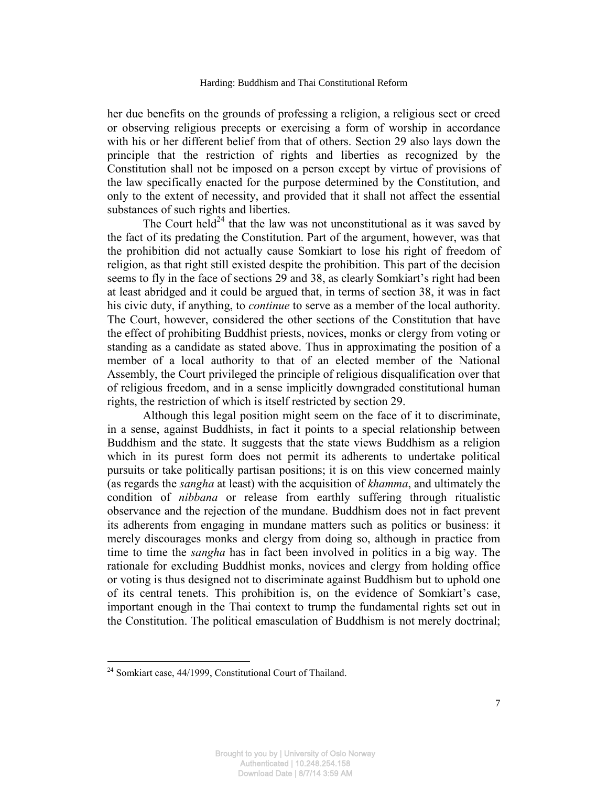her due benefits on the grounds of professing a religion, a religious sect or creed or observing religious precepts or exercising a form of worship in accordance with his or her different belief from that of others. Section 29 also lays down the principle that the restriction of rights and liberties as recognized by the Constitution shall not be imposed on a person except by virtue of provisions of the law specifically enacted for the purpose determined by the Constitution, and only to the extent of necessity, and provided that it shall not affect the essential substances of such rights and liberties.

The Court held<sup>24</sup> that the law was not unconstitutional as it was saved by the fact of its predating the Constitution. Part of the argument, however, was that the prohibition did not actually cause Somkiart to lose his right of freedom of religion, as that right still existed despite the prohibition. This part of the decision seems to fly in the face of sections 29 and 38, as clearly Somkiart's right had been at least abridged and it could be argued that, in terms of section 38, it was in fact his civic duty, if anything, to *continue* to serve as a member of the local authority. The Court, however, considered the other sections of the Constitution that have the effect of prohibiting Buddhist priests, novices, monks or clergy from voting or standing as a candidate as stated above. Thus in approximating the position of a member of a local authority to that of an elected member of the National Assembly, the Court privileged the principle of religious disqualification over that of religious freedom, and in a sense implicitly downgraded constitutional human rights, the restriction of which is itself restricted by section 29.

Although this legal position might seem on the face of it to discriminate, in a sense, against Buddhists, in fact it points to a special relationship between Buddhism and the state. It suggests that the state views Buddhism as a religion which in its purest form does not permit its adherents to undertake political pursuits or take politically partisan positions; it is on this view concerned mainly (as regards the *sangha* at least) with the acquisition of *khamma*, and ultimately the condition of *nibbana* or release from earthly suffering through ritualistic observance and the rejection of the mundane. Buddhism does not in fact prevent its adherents from engaging in mundane matters such as politics or business: it merely discourages monks and clergy from doing so, although in practice from time to time the *sangha* has in fact been involved in politics in a big way. The rationale for excluding Buddhist monks, novices and clergy from holding office or voting is thus designed not to discriminate against Buddhism but to uphold one of its central tenets. This prohibition is, on the evidence of Somkiart's case, important enough in the Thai context to trump the fundamental rights set out in the Constitution. The political emasculation of Buddhism is not merely doctrinal;

<sup>24</sup> Somkiart case, 44/1999, Constitutional Court of Thailand.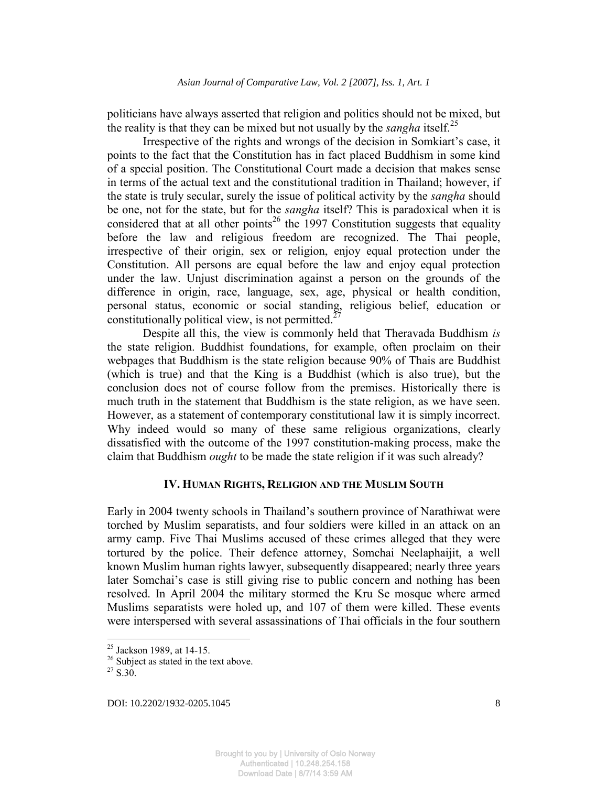politicians have always asserted that religion and politics should not be mixed, but the reality is that they can be mixed but not usually by the *sangha* itself.<sup>25</sup>

Irrespective of the rights and wrongs of the decision in Somkiart's case, it points to the fact that the Constitution has in fact placed Buddhism in some kind of a special position. The Constitutional Court made a decision that makes sense in terms of the actual text and the constitutional tradition in Thailand; however, if the state is truly secular, surely the issue of political activity by the *sangha* should be one, not for the state, but for the *sangha* itself? This is paradoxical when it is considered that at all other points<sup>26</sup> the 1997 Constitution suggests that equality before the law and religious freedom are recognized. The Thai people, irrespective of their origin, sex or religion, enjoy equal protection under the Constitution. All persons are equal before the law and enjoy equal protection under the law. Unjust discrimination against a person on the grounds of the difference in origin, race, language, sex, age, physical or health condition, personal status, economic or social standing, religious belief, education or constitutionally political view, is not permitted.<sup>27</sup>

Despite all this, the view is commonly held that Theravada Buddhism *is* the state religion. Buddhist foundations, for example, often proclaim on their webpages that Buddhism is the state religion because 90% of Thais are Buddhist (which is true) and that the King is a Buddhist (which is also true), but the conclusion does not of course follow from the premises. Historically there is much truth in the statement that Buddhism is the state religion, as we have seen. However, as a statement of contemporary constitutional law it is simply incorrect. Why indeed would so many of these same religious organizations, clearly dissatisfied with the outcome of the 1997 constitution-making process, make the claim that Buddhism *ought* to be made the state religion if it was such already?

#### **IV. HUMAN RIGHTS, RELIGION AND THE MUSLIM SOUTH**

Early in 2004 twenty schools in Thailand's southern province of Narathiwat were torched by Muslim separatists, and four soldiers were killed in an attack on an army camp. Five Thai Muslims accused of these crimes alleged that they were tortured by the police. Their defence attorney, Somchai Neelaphaijit, a well known Muslim human rights lawyer, subsequently disappeared; nearly three years later Somchai's case is still giving rise to public concern and nothing has been resolved. In April 2004 the military stormed the Kru Se mosque where armed Muslims separatists were holed up, and 107 of them were killed. These events were interspersed with several assassinations of Thai officials in the four southern

<sup>&</sup>lt;sup>25</sup> Jackson 1989, at 14-15.

 $26$  Subject as stated in the text above.

 $^{27}$  S.30.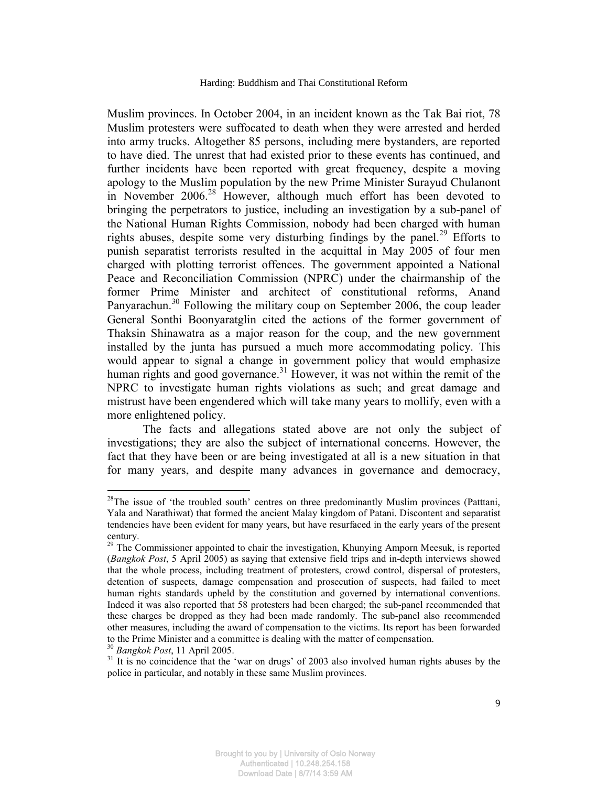Muslim provinces. In October 2004, in an incident known as the Tak Bai riot, 78 Muslim protesters were suffocated to death when they were arrested and herded into army trucks. Altogether 85 persons, including mere bystanders, are reported to have died. The unrest that had existed prior to these events has continued, and further incidents have been reported with great frequency, despite a moving apology to the Muslim population by the new Prime Minister Surayud Chulanont in November 2006.<sup>28</sup> However, although much effort has been devoted to bringing the perpetrators to justice, including an investigation by a sub-panel of the National Human Rights Commission, nobody had been charged with human rights abuses, despite some very disturbing findings by the panel.<sup>29</sup> Efforts to punish separatist terrorists resulted in the acquittal in May 2005 of four men charged with plotting terrorist offences. The government appointed a National Peace and Reconciliation Commission (NPRC) under the chairmanship of the former Prime Minister and architect of constitutional reforms, Anand Panyarachun.<sup>30</sup> Following the military coup on September 2006, the coup leader General Sonthi Boonyaratglin cited the actions of the former government of Thaksin Shinawatra as a major reason for the coup, and the new government installed by the junta has pursued a much more accommodating policy. This would appear to signal a change in government policy that would emphasize human rights and good governance.<sup>31</sup> However, it was not within the remit of the NPRC to investigate human rights violations as such; and great damage and mistrust have been engendered which will take many years to mollify, even with a more enlightened policy.

The facts and allegations stated above are not only the subject of investigations; they are also the subject of international concerns. However, the fact that they have been or are being investigated at all is a new situation in that for many years, and despite many advances in governance and democracy,

 $28$ The issue of 'the troubled south' centres on three predominantly Muslim provinces (Patttani, Yala and Narathiwat) that formed the ancient Malay kingdom of Patani. Discontent and separatist tendencies have been evident for many years, but have resurfaced in the early years of the present century.

<sup>&</sup>lt;sup>29</sup> The Commissioner appointed to chair the investigation, Khunying Amporn Meesuk, is reported (*Bangkok Post*, 5 April 2005) as saying that extensive field trips and in-depth interviews showed that the whole process, including treatment of protesters, crowd control, dispersal of protesters, detention of suspects, damage compensation and prosecution of suspects, had failed to meet human rights standards upheld by the constitution and governed by international conventions. Indeed it was also reported that 58 protesters had been charged; the sub-panel recommended that these charges be dropped as they had been made randomly. The sub-panel also recommended other measures, including the award of compensation to the victims. Its report has been forwarded to the Prime Minister and a committee is dealing with the matter of compensation.  $\frac{30}{30}$  Bangkok Post, 11 April 2005.

<sup>&</sup>lt;sup>31</sup> It is no coincidence that the 'war on drugs' of 2003 also involved human rights abuses by the police in particular, and notably in these same Muslim provinces.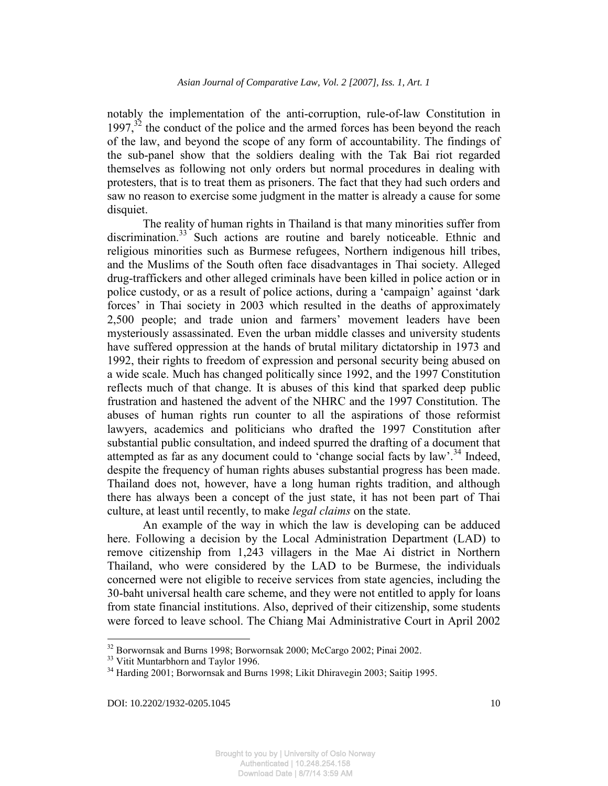notably the implementation of the anti-corruption, rule-of-law Constitution in  $1997$ ,<sup>32</sup> the conduct of the police and the armed forces has been beyond the reach of the law, and beyond the scope of any form of accountability. The findings of the sub-panel show that the soldiers dealing with the Tak Bai riot regarded themselves as following not only orders but normal procedures in dealing with protesters, that is to treat them as prisoners. The fact that they had such orders and saw no reason to exercise some judgment in the matter is already a cause for some disquiet.

The reality of human rights in Thailand is that many minorities suffer from discrimination. $33 \times 5$ uch actions are routine and barely noticeable. Ethnic and religious minorities such as Burmese refugees, Northern indigenous hill tribes, and the Muslims of the South often face disadvantages in Thai society. Alleged drug-traffickers and other alleged criminals have been killed in police action or in police custody, or as a result of police actions, during a 'campaign' against 'dark forces' in Thai society in 2003 which resulted in the deaths of approximately 2,500 people; and trade union and farmers' movement leaders have been mysteriously assassinated. Even the urban middle classes and university students have suffered oppression at the hands of brutal military dictatorship in 1973 and 1992, their rights to freedom of expression and personal security being abused on a wide scale. Much has changed politically since 1992, and the 1997 Constitution reflects much of that change. It is abuses of this kind that sparked deep public frustration and hastened the advent of the NHRC and the 1997 Constitution. The abuses of human rights run counter to all the aspirations of those reformist lawyers, academics and politicians who drafted the 1997 Constitution after substantial public consultation, and indeed spurred the drafting of a document that attempted as far as any document could to 'change social facts by law'.<sup>34</sup> Indeed, despite the frequency of human rights abuses substantial progress has been made. Thailand does not, however, have a long human rights tradition, and although there has always been a concept of the just state, it has not been part of Thai culture, at least until recently, to make *legal claims* on the state.

An example of the way in which the law is developing can be adduced here. Following a decision by the Local Administration Department (LAD) to remove citizenship from 1,243 villagers in the Mae Ai district in Northern Thailand, who were considered by the LAD to be Burmese, the individuals concerned were not eligible to receive services from state agencies, including the 30-baht universal health care scheme, and they were not entitled to apply for loans from state financial institutions. Also, deprived of their citizenship, some students were forced to leave school. The Chiang Mai Administrative Court in April 2002

<sup>&</sup>lt;sup>32</sup> Borwornsak and Burns 1998; Borwornsak 2000; McCargo 2002; Pinai 2002.

<sup>&</sup>lt;sup>33</sup> Vitit Muntarbhorn and Taylor 1996.

<sup>&</sup>lt;sup>34</sup> Harding 2001; Borwornsak and Burns 1998; Likit Dhiravegin 2003; Saitip 1995.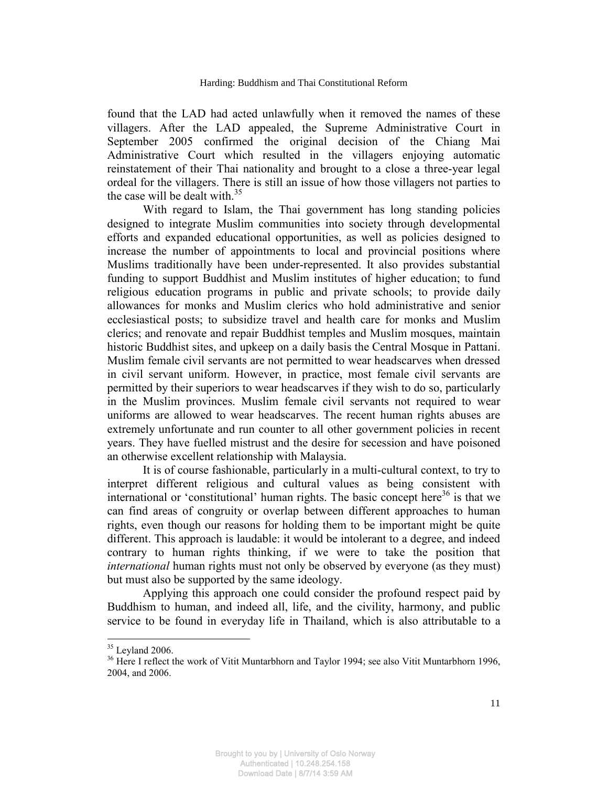found that the LAD had acted unlawfully when it removed the names of these villagers. After the LAD appealed, the Supreme Administrative Court in September 2005 confirmed the original decision of the Chiang Mai Administrative Court which resulted in the villagers enjoying automatic reinstatement of their Thai nationality and brought to a close a three-year legal ordeal for the villagers. There is still an issue of how those villagers not parties to the case will be dealt with. $35$ 

With regard to Islam, the Thai government has long standing policies designed to integrate Muslim communities into society through developmental efforts and expanded educational opportunities, as well as policies designed to increase the number of appointments to local and provincial positions where Muslims traditionally have been under-represented. It also provides substantial funding to support Buddhist and Muslim institutes of higher education; to fund religious education programs in public and private schools; to provide daily allowances for monks and Muslim clerics who hold administrative and senior ecclesiastical posts; to subsidize travel and health care for monks and Muslim clerics; and renovate and repair Buddhist temples and Muslim mosques, maintain historic Buddhist sites, and upkeep on a daily basis the Central Mosque in Pattani. Muslim female civil servants are not permitted to wear headscarves when dressed in civil servant uniform. However, in practice, most female civil servants are permitted by their superiors to wear headscarves if they wish to do so, particularly in the Muslim provinces. Muslim female civil servants not required to wear uniforms are allowed to wear headscarves. The recent human rights abuses are extremely unfortunate and run counter to all other government policies in recent years. They have fuelled mistrust and the desire for secession and have poisoned an otherwise excellent relationship with Malaysia.

It is of course fashionable, particularly in a multi-cultural context, to try to interpret different religious and cultural values as being consistent with international or 'constitutional' human rights. The basic concept here<sup>36</sup> is that we can find areas of congruity or overlap between different approaches to human rights, even though our reasons for holding them to be important might be quite different. This approach is laudable: it would be intolerant to a degree, and indeed contrary to human rights thinking, if we were to take the position that *international* human rights must not only be observed by everyone (as they must) but must also be supported by the same ideology.

Applying this approach one could consider the profound respect paid by Buddhism to human, and indeed all, life, and the civility, harmony, and public service to be found in everyday life in Thailand, which is also attributable to a

 $35$  Leyland 2006.

<sup>&</sup>lt;sup>36</sup> Here I reflect the work of Vitit Muntarbhorn and Taylor 1994; see also Vitit Muntarbhorn 1996, 2004, and 2006.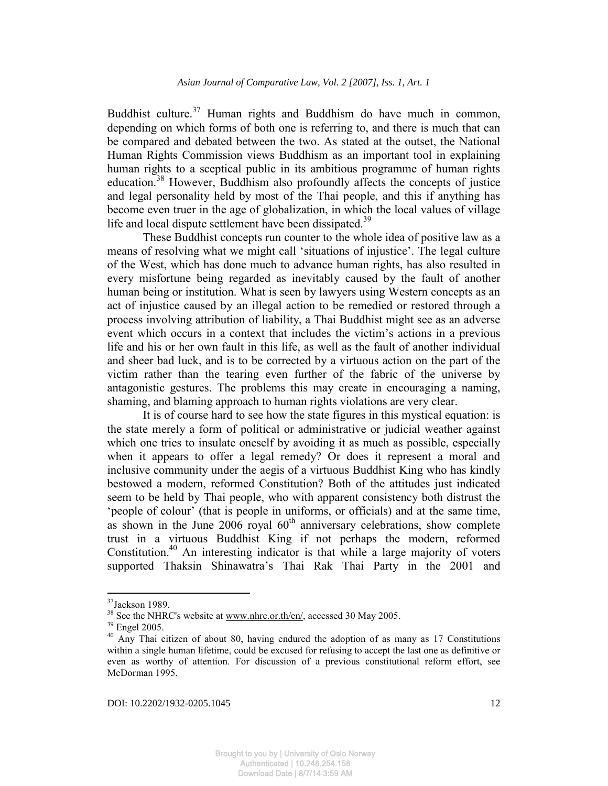Buddhist culture.<sup>37</sup> Human rights and Buddhism do have much in common, depending on which forms of both one is referring to, and there is much that can be compared and debated between the two. As stated at the outset, the National Human Rights Commission views Buddhism as an important tool in explaining human rights to a sceptical public in its ambitious programme of human rights education.<sup>38</sup> However, Buddhism also profoundly affects the concepts of justice and legal personality held by most of the Thai people, and this if anything has become even truer in the age of globalization, in which the local values of village life and local dispute settlement have been dissipated.<sup>39</sup>

These Buddhist concepts run counter to the whole idea of positive law as a means of resolving what we might call 'situations of injustice'. The legal culture of the West, which has done much to advance human rights, has also resulted in every misfortune being regarded as inevitably caused by the fault of another human being or institution. What is seen by lawyers using Western concepts as an act of injustice caused by an illegal action to be remedied or restored through a process involving attribution of liability, a Thai Buddhist might see as an adverse event which occurs in a context that includes the victim's actions in a previous life and his or her own fault in this life, as well as the fault of another individual and sheer bad luck, and is to be corrected by a virtuous action on the part of the victim rather than the tearing even further of the fabric of the universe by antagonistic gestures. The problems this may create in encouraging a naming, shaming, and blaming approach to human rights violations are very clear.

It is of course hard to see how the state figures in this mystical equation: is the state merely a form of political or administrative or judicial weather against which one tries to insulate oneself by avoiding it as much as possible, especially when it appears to offer a legal remedy? Or does it represent a moral and inclusive community under the aegis of a virtuous Buddhist King who has kindly bestowed a modern, reformed Constitution? Both of the attitudes just indicated seem to be held by Thai people, who with apparent consistency both distrust the 'people of colour' (that is people in uniforms, or officials) and at the same time, as shown in the June  $2006$  royal  $60<sup>th</sup>$  anniversary celebrations, show complete trust in a virtuous Buddhist King if not perhaps the modern, reformed Constitution.<sup>40</sup> An interesting indicator is that while a large majority of voters supported Thaksin Shinawatra's Thai Rak Thai Party in the 2001 and

<sup>37</sup> Jackson 1989.

<sup>&</sup>lt;sup>38</sup> See the NHRC's website at <u>www.nhrc.or.th/en/</u>, accessed 30 May 2005.

 $39$  Engel 2005.

<sup>&</sup>lt;sup>40</sup> Any Thai citizen of about 80, having endured the adoption of as many as 17 Constitutions within a single human lifetime, could be excused for refusing to accept the last one as definitive or even as worthy of attention. For discussion of a previous constitutional reform effort, see McDorman 1995.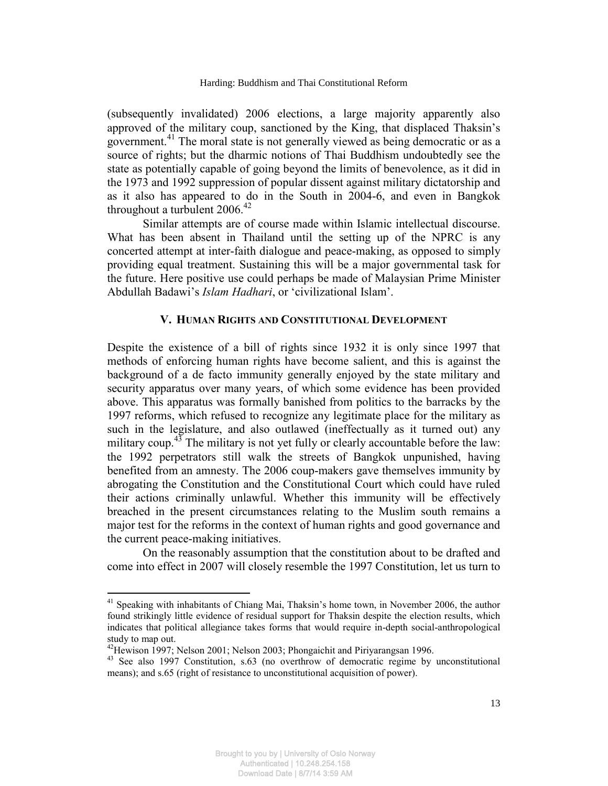(subsequently invalidated) 2006 elections, a large majority apparently also approved of the military coup, sanctioned by the King, that displaced Thaksin's government.<sup>41</sup> The moral state is not generally viewed as being democratic or as a source of rights; but the dharmic notions of Thai Buddhism undoubtedly see the state as potentially capable of going beyond the limits of benevolence, as it did in the 1973 and 1992 suppression of popular dissent against military dictatorship and as it also has appeared to do in the South in 2004-6, and even in Bangkok throughout a turbulent  $2006.<sup>42</sup>$ 

Similar attempts are of course made within Islamic intellectual discourse. What has been absent in Thailand until the setting up of the NPRC is any concerted attempt at inter-faith dialogue and peace-making, as opposed to simply providing equal treatment. Sustaining this will be a major governmental task for the future. Here positive use could perhaps be made of Malaysian Prime Minister Abdullah Badawi's *Islam Hadhari*, or 'civilizational Islam'.

#### **V. HUMAN RIGHTS AND CONSTITUTIONAL DEVELOPMENT**

Despite the existence of a bill of rights since 1932 it is only since 1997 that methods of enforcing human rights have become salient, and this is against the background of a de facto immunity generally enjoyed by the state military and security apparatus over many years, of which some evidence has been provided above. This apparatus was formally banished from politics to the barracks by the 1997 reforms, which refused to recognize any legitimate place for the military as such in the legislature, and also outlawed (ineffectually as it turned out) any military coup.<sup>43</sup> The military is not yet fully or clearly accountable before the law: the 1992 perpetrators still walk the streets of Bangkok unpunished, having benefited from an amnesty. The 2006 coup-makers gave themselves immunity by abrogating the Constitution and the Constitutional Court which could have ruled their actions criminally unlawful. Whether this immunity will be effectively breached in the present circumstances relating to the Muslim south remains a major test for the reforms in the context of human rights and good governance and the current peace-making initiatives.

On the reasonably assumption that the constitution about to be drafted and come into effect in 2007 will closely resemble the 1997 Constitution, let us turn to

<sup>&</sup>lt;sup>41</sup> Speaking with inhabitants of Chiang Mai, Thaksin's home town, in November 2006, the author found strikingly little evidence of residual support for Thaksin despite the election results, which indicates that political allegiance takes forms that would require in-depth social-anthropological study to map out.

<sup>&</sup>lt;sup>42</sup>Hewison 1997; Nelson 2001; Nelson 2003; Phongaichit and Piriyarangsan 1996.

<sup>&</sup>lt;sup>43</sup> See also 1997 Constitution, s.63 (no overthrow of democratic regime by unconstitutional means); and s.65 (right of resistance to unconstitutional acquisition of power).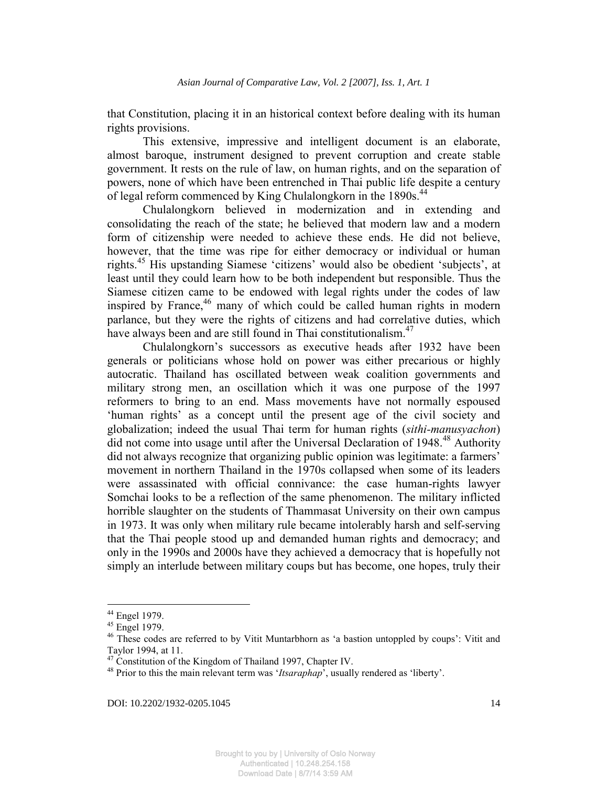that Constitution, placing it in an historical context before dealing with its human rights provisions.

This extensive, impressive and intelligent document is an elaborate, almost baroque, instrument designed to prevent corruption and create stable government. It rests on the rule of law, on human rights, and on the separation of powers, none of which have been entrenched in Thai public life despite a century of legal reform commenced by King Chulalongkorn in the 1890s.<sup>44</sup>

Chulalongkorn believed in modernization and in extending and consolidating the reach of the state; he believed that modern law and a modern form of citizenship were needed to achieve these ends. He did not believe, however, that the time was ripe for either democracy or individual or human rights.45 His upstanding Siamese 'citizens' would also be obedient 'subjects', at least until they could learn how to be both independent but responsible. Thus the Siamese citizen came to be endowed with legal rights under the codes of law inspired by France, $46$  many of which could be called human rights in modern parlance, but they were the rights of citizens and had correlative duties, which have always been and are still found in Thai constitutionalism.<sup>47</sup>

Chulalongkorn's successors as executive heads after 1932 have been generals or politicians whose hold on power was either precarious or highly autocratic. Thailand has oscillated between weak coalition governments and military strong men, an oscillation which it was one purpose of the 1997 reformers to bring to an end. Mass movements have not normally espoused 'human rights' as a concept until the present age of the civil society and globalization; indeed the usual Thai term for human rights (*sithi-manusyachon*) did not come into usage until after the Universal Declaration of 1948.<sup>48</sup> Authority did not always recognize that organizing public opinion was legitimate: a farmers' movement in northern Thailand in the 1970s collapsed when some of its leaders were assassinated with official connivance: the case human-rights lawyer Somchai looks to be a reflection of the same phenomenon. The military inflicted horrible slaughter on the students of Thammasat University on their own campus in 1973. It was only when military rule became intolerably harsh and self-serving that the Thai people stood up and demanded human rights and democracy; and only in the 1990s and 2000s have they achieved a democracy that is hopefully not simply an interlude between military coups but has become, one hopes, truly their

<sup>44</sup> Engel 1979.

<sup>45</sup> Engel 1979.

<sup>&</sup>lt;sup>46</sup> These codes are referred to by Vitit Muntarbhorn as 'a bastion untoppled by coups': Vitit and Taylor 1994, at 11.

 $47$  Constitution of the Kingdom of Thailand 1997, Chapter IV.

<sup>48</sup> Prior to this the main relevant term was '*Itsaraphap*', usually rendered as 'liberty'.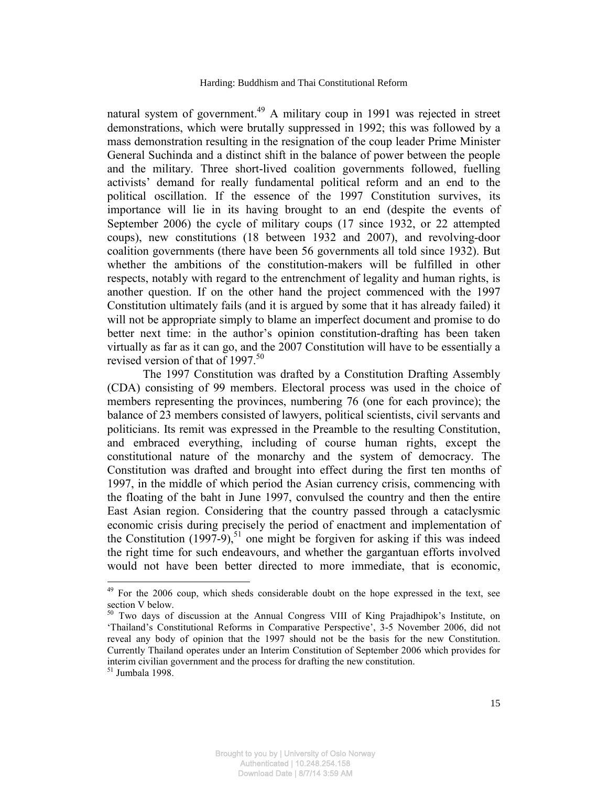natural system of government.<sup>49</sup> A military coup in 1991 was rejected in street demonstrations, which were brutally suppressed in 1992; this was followed by a mass demonstration resulting in the resignation of the coup leader Prime Minister General Suchinda and a distinct shift in the balance of power between the people and the military. Three short-lived coalition governments followed, fuelling activists' demand for really fundamental political reform and an end to the political oscillation. If the essence of the 1997 Constitution survives, its importance will lie in its having brought to an end (despite the events of September 2006) the cycle of military coups (17 since 1932, or 22 attempted coups), new constitutions (18 between 1932 and 2007), and revolving-door coalition governments (there have been 56 governments all told since 1932). But whether the ambitions of the constitution-makers will be fulfilled in other respects, notably with regard to the entrenchment of legality and human rights, is another question. If on the other hand the project commenced with the 1997 Constitution ultimately fails (and it is argued by some that it has already failed) it will not be appropriate simply to blame an imperfect document and promise to do better next time: in the author's opinion constitution-drafting has been taken virtually as far as it can go, and the 2007 Constitution will have to be essentially a revised version of that of  $1997$ .<sup>50</sup>

The 1997 Constitution was drafted by a Constitution Drafting Assembly (CDA) consisting of 99 members. Electoral process was used in the choice of members representing the provinces, numbering 76 (one for each province); the balance of 23 members consisted of lawyers, political scientists, civil servants and politicians. Its remit was expressed in the Preamble to the resulting Constitution, and embraced everything, including of course human rights, except the constitutional nature of the monarchy and the system of democracy. The Constitution was drafted and brought into effect during the first ten months of 1997, in the middle of which period the Asian currency crisis, commencing with the floating of the baht in June 1997, convulsed the country and then the entire East Asian region. Considering that the country passed through a cataclysmic economic crisis during precisely the period of enactment and implementation of the Constitution  $(1997-9)$ ,<sup>51</sup> one might be forgiven for asking if this was indeed the right time for such endeavours, and whether the gargantuan efforts involved would not have been better directed to more immediate, that is economic,

 $49$  For the 2006 coup, which sheds considerable doubt on the hope expressed in the text, see section V below.

<sup>&</sup>lt;sup>50</sup> Two days of discussion at the Annual Congress VIII of King Prajadhipok's Institute, on 'Thailand's Constitutional Reforms in Comparative Perspective', 3-5 November 2006, did not reveal any body of opinion that the 1997 should not be the basis for the new Constitution. Currently Thailand operates under an Interim Constitution of September 2006 which provides for interim civilian government and the process for drafting the new constitution.

<sup>51</sup> Jumbala 1998.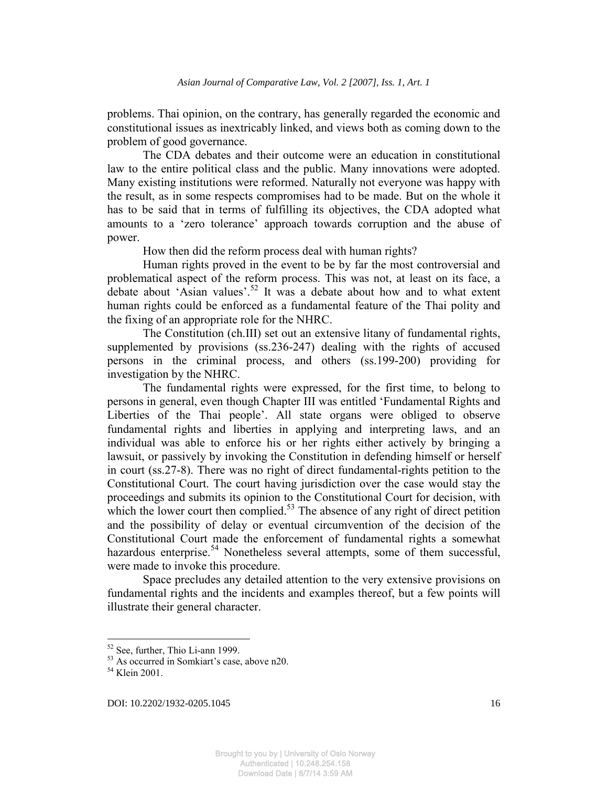problems. Thai opinion, on the contrary, has generally regarded the economic and constitutional issues as inextricably linked, and views both as coming down to the problem of good governance.

The CDA debates and their outcome were an education in constitutional law to the entire political class and the public. Many innovations were adopted. Many existing institutions were reformed. Naturally not everyone was happy with the result, as in some respects compromises had to be made. But on the whole it has to be said that in terms of fulfilling its objectives, the CDA adopted what amounts to a 'zero tolerance' approach towards corruption and the abuse of power.

How then did the reform process deal with human rights?

Human rights proved in the event to be by far the most controversial and problematical aspect of the reform process. This was not, at least on its face, a debate about 'Asian values'.<sup>52</sup> It was a debate about how and to what extent human rights could be enforced as a fundamental feature of the Thai polity and the fixing of an appropriate role for the NHRC.

The Constitution (ch.III) set out an extensive litany of fundamental rights, supplemented by provisions (ss.236-247) dealing with the rights of accused persons in the criminal process, and others (ss.199-200) providing for investigation by the NHRC.

The fundamental rights were expressed, for the first time, to belong to persons in general, even though Chapter III was entitled 'Fundamental Rights and Liberties of the Thai people'. All state organs were obliged to observe fundamental rights and liberties in applying and interpreting laws, and an individual was able to enforce his or her rights either actively by bringing a lawsuit, or passively by invoking the Constitution in defending himself or herself in court (ss.27-8). There was no right of direct fundamental-rights petition to the Constitutional Court. The court having jurisdiction over the case would stay the proceedings and submits its opinion to the Constitutional Court for decision, with which the lower court then complied.<sup>53</sup> The absence of any right of direct petition and the possibility of delay or eventual circumvention of the decision of the Constitutional Court made the enforcement of fundamental rights a somewhat hazardous enterprise.<sup>54</sup> Nonetheless several attempts, some of them successful, were made to invoke this procedure.

Space precludes any detailed attention to the very extensive provisions on fundamental rights and the incidents and examples thereof, but a few points will illustrate their general character.

<sup>52</sup> See, further, Thio Li-ann 1999.

<sup>&</sup>lt;sup>53</sup> As occurred in Somkiart's case, above n20.

<sup>54</sup> Klein 2001.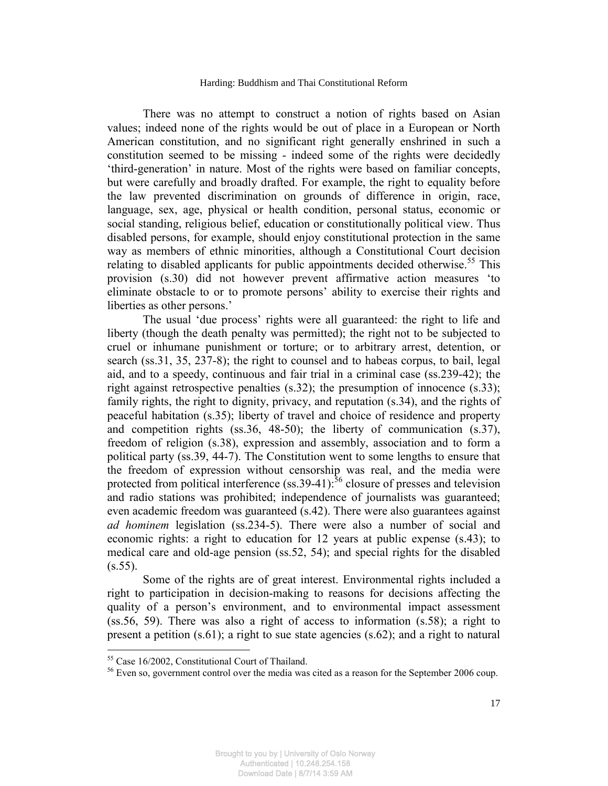#### Harding: Buddhism and Thai Constitutional Reform

There was no attempt to construct a notion of rights based on Asian values; indeed none of the rights would be out of place in a European or North American constitution, and no significant right generally enshrined in such a constitution seemed to be missing - indeed some of the rights were decidedly 'third-generation' in nature. Most of the rights were based on familiar concepts, but were carefully and broadly drafted. For example, the right to equality before the law prevented discrimination on grounds of difference in origin, race, language, sex, age, physical or health condition, personal status, economic or social standing, religious belief, education or constitutionally political view. Thus disabled persons, for example, should enjoy constitutional protection in the same way as members of ethnic minorities, although a Constitutional Court decision relating to disabled applicants for public appointments decided otherwise.<sup>55</sup> This provision (s.30) did not however prevent affirmative action measures 'to eliminate obstacle to or to promote persons' ability to exercise their rights and liberties as other persons.'

The usual 'due process' rights were all guaranteed: the right to life and liberty (though the death penalty was permitted); the right not to be subjected to cruel or inhumane punishment or torture; or to arbitrary arrest, detention, or search (ss.31, 35, 237-8); the right to counsel and to habeas corpus, to bail, legal aid, and to a speedy, continuous and fair trial in a criminal case (ss.239-42); the right against retrospective penalties (s.32); the presumption of innocence (s.33); family rights, the right to dignity, privacy, and reputation (s.34), and the rights of peaceful habitation (s.35); liberty of travel and choice of residence and property and competition rights (ss.36, 48-50); the liberty of communication (s.37), freedom of religion (s.38), expression and assembly, association and to form a political party (ss.39, 44-7). The Constitution went to some lengths to ensure that the freedom of expression without censorship was real, and the media were protected from political interference (ss.39-41):<sup>56</sup> closure of presses and television and radio stations was prohibited; independence of journalists was guaranteed; even academic freedom was guaranteed (s.42). There were also guarantees against *ad hominem* legislation (ss.234-5). There were also a number of social and economic rights: a right to education for 12 years at public expense (s.43); to medical care and old-age pension (ss.52, 54); and special rights for the disabled  $(s.55)$ .

Some of the rights are of great interest. Environmental rights included a right to participation in decision-making to reasons for decisions affecting the quality of a person's environment, and to environmental impact assessment (ss.56, 59). There was also a right of access to information (s.58); a right to present a petition (s.61); a right to sue state agencies (s.62); and a right to natural

<sup>55</sup> Case 16/2002, Constitutional Court of Thailand.

 $56$  Even so, government control over the media was cited as a reason for the September 2006 coup.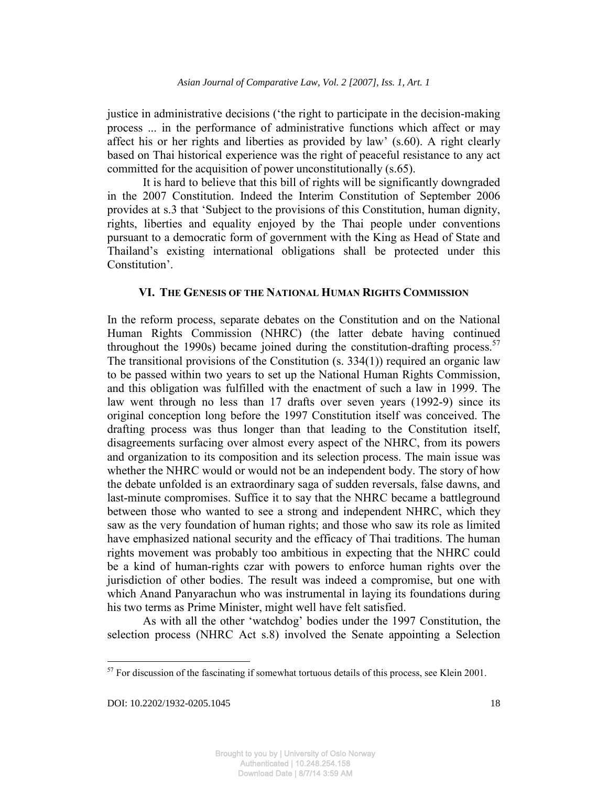justice in administrative decisions ('the right to participate in the decision-making process ... in the performance of administrative functions which affect or may affect his or her rights and liberties as provided by law' (s.60). A right clearly based on Thai historical experience was the right of peaceful resistance to any act committed for the acquisition of power unconstitutionally (s.65).

It is hard to believe that this bill of rights will be significantly downgraded in the 2007 Constitution. Indeed the Interim Constitution of September 2006 provides at s.3 that 'Subject to the provisions of this Constitution, human dignity, rights, liberties and equality enjoyed by the Thai people under conventions pursuant to a democratic form of government with the King as Head of State and Thailand's existing international obligations shall be protected under this Constitution'.

## **VI. THE GENESIS OF THE NATIONAL HUMAN RIGHTS COMMISSION**

In the reform process, separate debates on the Constitution and on the National Human Rights Commission (NHRC) (the latter debate having continued throughout the 1990s) became joined during the constitution-drafting process.<sup>57</sup> The transitional provisions of the Constitution (s. 334(1)) required an organic law to be passed within two years to set up the National Human Rights Commission, and this obligation was fulfilled with the enactment of such a law in 1999. The law went through no less than 17 drafts over seven years (1992-9) since its original conception long before the 1997 Constitution itself was conceived. The drafting process was thus longer than that leading to the Constitution itself, disagreements surfacing over almost every aspect of the NHRC, from its powers and organization to its composition and its selection process. The main issue was whether the NHRC would or would not be an independent body. The story of how the debate unfolded is an extraordinary saga of sudden reversals, false dawns, and last-minute compromises. Suffice it to say that the NHRC became a battleground between those who wanted to see a strong and independent NHRC, which they saw as the very foundation of human rights; and those who saw its role as limited have emphasized national security and the efficacy of Thai traditions. The human rights movement was probably too ambitious in expecting that the NHRC could be a kind of human-rights czar with powers to enforce human rights over the jurisdiction of other bodies. The result was indeed a compromise, but one with which Anand Panyarachun who was instrumental in laying its foundations during his two terms as Prime Minister, might well have felt satisfied.

As with all the other 'watchdog' bodies under the 1997 Constitution, the selection process (NHRC Act s.8) involved the Senate appointing a Selection

 $57$  For discussion of the fascinating if somewhat tortuous details of this process, see Klein 2001.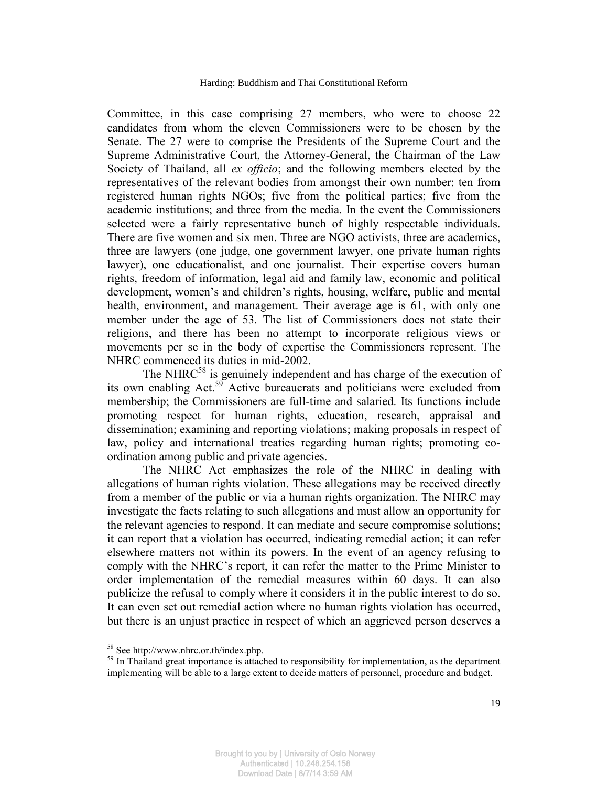Committee, in this case comprising 27 members, who were to choose 22 candidates from whom the eleven Commissioners were to be chosen by the Senate. The 27 were to comprise the Presidents of the Supreme Court and the Supreme Administrative Court, the Attorney-General, the Chairman of the Law Society of Thailand, all *ex officio*; and the following members elected by the representatives of the relevant bodies from amongst their own number: ten from registered human rights NGOs; five from the political parties; five from the academic institutions; and three from the media. In the event the Commissioners selected were a fairly representative bunch of highly respectable individuals. There are five women and six men. Three are NGO activists, three are academics, three are lawyers (one judge, one government lawyer, one private human rights lawyer), one educationalist, and one journalist. Their expertise covers human rights, freedom of information, legal aid and family law, economic and political development, women's and children's rights, housing, welfare, public and mental health, environment, and management. Their average age is 61, with only one member under the age of 53. The list of Commissioners does not state their religions, and there has been no attempt to incorporate religious views or movements per se in the body of expertise the Commissioners represent. The NHRC commenced its duties in mid-2002.

The NHRC<sup>58</sup> is genuinely independent and has charge of the execution of its own enabling Act.<sup>59</sup> Active bureaucrats and politicians were excluded from membership; the Commissioners are full-time and salaried. Its functions include promoting respect for human rights, education, research, appraisal and dissemination; examining and reporting violations; making proposals in respect of law, policy and international treaties regarding human rights; promoting coordination among public and private agencies.

The NHRC Act emphasizes the role of the NHRC in dealing with allegations of human rights violation. These allegations may be received directly from a member of the public or via a human rights organization. The NHRC may investigate the facts relating to such allegations and must allow an opportunity for the relevant agencies to respond. It can mediate and secure compromise solutions; it can report that a violation has occurred, indicating remedial action; it can refer elsewhere matters not within its powers. In the event of an agency refusing to comply with the NHRC's report, it can refer the matter to the Prime Minister to order implementation of the remedial measures within 60 days. It can also publicize the refusal to comply where it considers it in the public interest to do so. It can even set out remedial action where no human rights violation has occurred, but there is an unjust practice in respect of which an aggrieved person deserves a

<sup>58</sup> See http://www.nhrc.or.th/index.php.

<sup>&</sup>lt;sup>59</sup> In Thailand great importance is attached to responsibility for implementation, as the department implementing will be able to a large extent to decide matters of personnel, procedure and budget.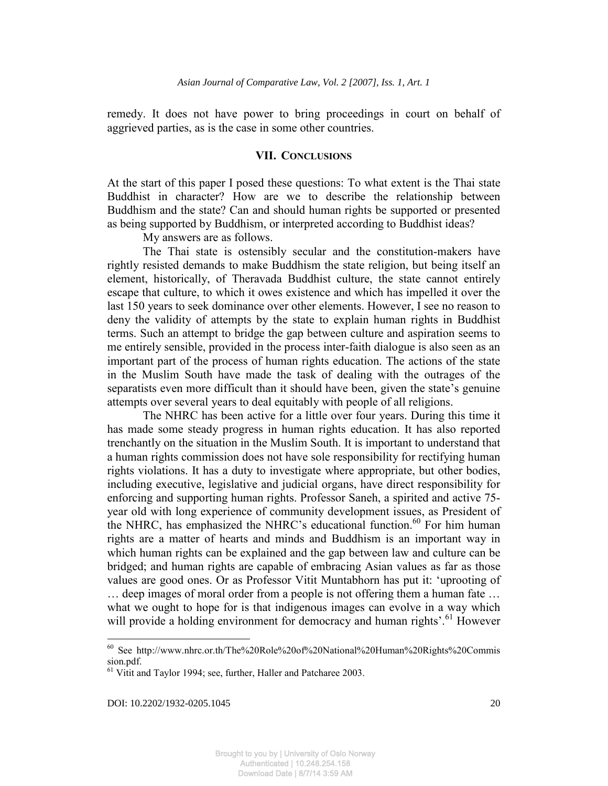remedy. It does not have power to bring proceedings in court on behalf of aggrieved parties, as is the case in some other countries.

## **VII. CONCLUSIONS**

At the start of this paper I posed these questions: To what extent is the Thai state Buddhist in character? How are we to describe the relationship between Buddhism and the state? Can and should human rights be supported or presented as being supported by Buddhism, or interpreted according to Buddhist ideas?

My answers are as follows.

The Thai state is ostensibly secular and the constitution-makers have rightly resisted demands to make Buddhism the state religion, but being itself an element, historically, of Theravada Buddhist culture, the state cannot entirely escape that culture, to which it owes existence and which has impelled it over the last 150 years to seek dominance over other elements. However, I see no reason to deny the validity of attempts by the state to explain human rights in Buddhist terms. Such an attempt to bridge the gap between culture and aspiration seems to me entirely sensible, provided in the process inter-faith dialogue is also seen as an important part of the process of human rights education. The actions of the state in the Muslim South have made the task of dealing with the outrages of the separatists even more difficult than it should have been, given the state's genuine attempts over several years to deal equitably with people of all religions.

The NHRC has been active for a little over four years. During this time it has made some steady progress in human rights education. It has also reported trenchantly on the situation in the Muslim South. It is important to understand that a human rights commission does not have sole responsibility for rectifying human rights violations. It has a duty to investigate where appropriate, but other bodies, including executive, legislative and judicial organs, have direct responsibility for enforcing and supporting human rights. Professor Saneh, a spirited and active 75 year old with long experience of community development issues, as President of the NHRC, has emphasized the NHRC's educational function.<sup>60</sup> For him human rights are a matter of hearts and minds and Buddhism is an important way in which human rights can be explained and the gap between law and culture can be bridged; and human rights are capable of embracing Asian values as far as those values are good ones. Or as Professor Vitit Muntabhorn has put it: 'uprooting of … deep images of moral order from a people is not offering them a human fate … what we ought to hope for is that indigenous images can evolve in a way which will provide a holding environment for democracy and human rights'.<sup>61</sup> However

<sup>60</sup> See http://www.nhrc.or.th/The%20Role%20of%20National%20Human%20Rights%20Commis sion.pdf.

<sup>&</sup>lt;sup>61</sup> Vitit and Taylor 1994; see, further, Haller and Patcharee 2003.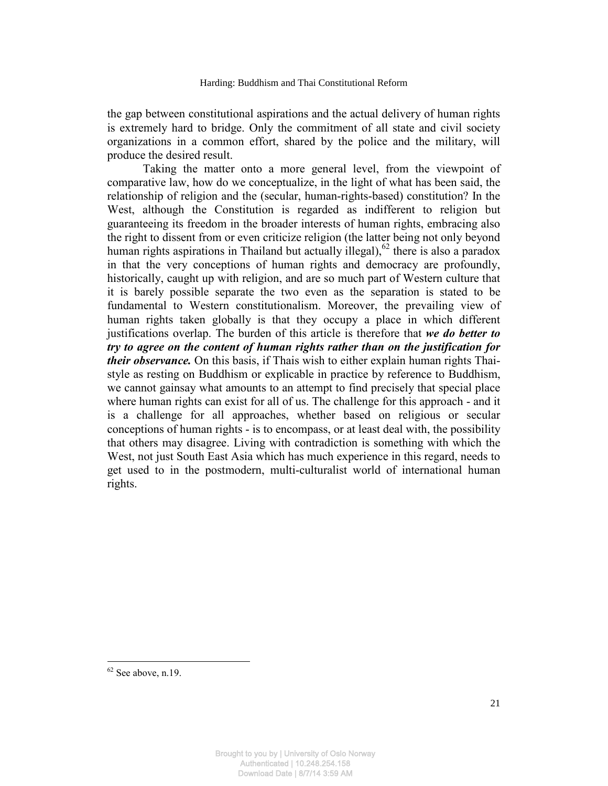the gap between constitutional aspirations and the actual delivery of human rights is extremely hard to bridge. Only the commitment of all state and civil society organizations in a common effort, shared by the police and the military, will produce the desired result.

Taking the matter onto a more general level, from the viewpoint of comparative law, how do we conceptualize, in the light of what has been said, the relationship of religion and the (secular, human-rights-based) constitution? In the West, although the Constitution is regarded as indifferent to religion but guaranteeing its freedom in the broader interests of human rights, embracing also the right to dissent from or even criticize religion (the latter being not only beyond human rights aspirations in Thailand but actually illegal),  $62$  there is also a paradox in that the very conceptions of human rights and democracy are profoundly, historically, caught up with religion, and are so much part of Western culture that it is barely possible separate the two even as the separation is stated to be fundamental to Western constitutionalism. Moreover, the prevailing view of human rights taken globally is that they occupy a place in which different justifications overlap. The burden of this article is therefore that *we do better to try to agree on the content of human rights rather than on the justification for their observance.* On this basis, if Thais wish to either explain human rights Thaistyle as resting on Buddhism or explicable in practice by reference to Buddhism, we cannot gainsay what amounts to an attempt to find precisely that special place where human rights can exist for all of us. The challenge for this approach - and it is a challenge for all approaches, whether based on religious or secular conceptions of human rights - is to encompass, or at least deal with, the possibility that others may disagree. Living with contradiction is something with which the West, not just South East Asia which has much experience in this regard, needs to get used to in the postmodern, multi-culturalist world of international human rights.

 $62$  See above, n.19.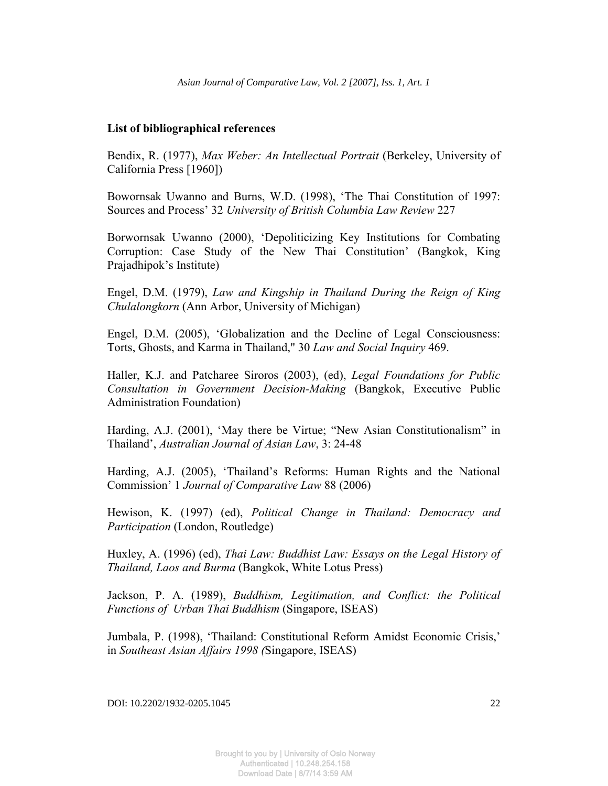## **List of bibliographical references**

Bendix, R. (1977), *Max Weber: An Intellectual Portrait* (Berkeley, University of California Press [1960])

Bowornsak Uwanno and Burns, W.D. (1998), 'The Thai Constitution of 1997: Sources and Process' 32 *University of British Columbia Law Review* 227

Borwornsak Uwanno (2000), 'Depoliticizing Key Institutions for Combating Corruption: Case Study of the New Thai Constitution' (Bangkok, King Prajadhipok's Institute)

Engel, D.M. (1979), *Law and Kingship in Thailand During the Reign of King Chulalongkorn* (Ann Arbor, University of Michigan)

Engel, D.M. (2005), 'Globalization and the Decline of Legal Consciousness: Torts, Ghosts, and Karma in Thailand," 30 *Law and Social Inquiry* 469.

Haller, K.J. and Patcharee Siroros (2003), (ed), *Legal Foundations for Public Consultation in Government Decision-Making* (Bangkok, Executive Public Administration Foundation)

Harding, A.J. (2001), 'May there be Virtue; "New Asian Constitutionalism" in Thailand', *Australian Journal of Asian Law*, 3: 24-48

Harding, A.J. (2005), 'Thailand's Reforms: Human Rights and the National Commission' 1 *Journal of Comparative Law* 88 (2006)

Hewison, K. (1997) (ed), *Political Change in Thailand: Democracy and Participation* (London, Routledge)

Huxley, A. (1996) (ed), *Thai Law: Buddhist Law: Essays on the Legal History of Thailand, Laos and Burma* (Bangkok, White Lotus Press)

Jackson, P. A. (1989), *Buddhism, Legitimation, and Conflict: the Political Functions of Urban Thai Buddhism* (Singapore, ISEAS)

Jumbala, P. (1998), 'Thailand: Constitutional Reform Amidst Economic Crisis,' in *Southeast Asian Affairs 1998 (*Singapore, ISEAS)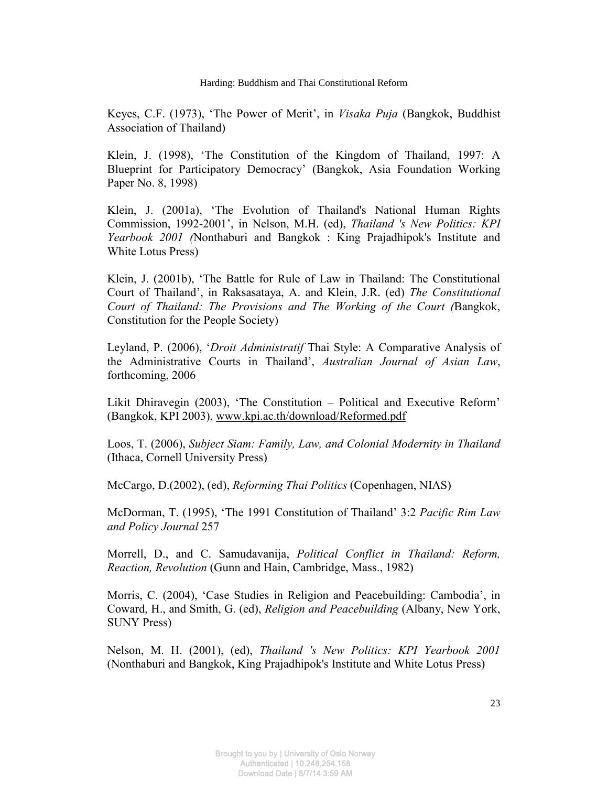Keyes, C.F. (1973), 'The Power of Merit', in *Visaka Puja* (Bangkok, Buddhist Association of Thailand)

Klein, J. (1998), 'The Constitution of the Kingdom of Thailand, 1997: A Blueprint for Participatory Democracy' (Bangkok, Asia Foundation Working Paper No. 8, 1998)

Klein, J. (2001a), 'The Evolution of Thailand's National Human Rights Commission, 1992-2001', in Nelson, M.H. (ed), *Thailand 's New Politics: KPI Yearbook 2001 (*Nonthaburi and Bangkok : King Prajadhipok's Institute and White Lotus Press)

Klein, J. (2001b), 'The Battle for Rule of Law in Thailand: The Constitutional Court of Thailand', in Raksasataya, A. and Klein, J.R. (ed) *The Constitutional Court of Thailand: The Provisions and The Working of the Court (*Bangkok, Constitution for the People Society)

Leyland, P. (2006), '*Droit Administratif* Thai Style: A Comparative Analysis of the Administrative Courts in Thailand', *Australian Journal of Asian Law*, forthcoming, 2006

Likit Dhiravegin (2003), 'The Constitution – Political and Executive Reform' (Bangkok, KPI 2003), www.kpi.ac.th/download/Reformed.pdf

Loos, T. (2006), *Subject Siam: Family, Law, and Colonial Modernity in Thailand* (Ithaca, Cornell University Press)

McCargo, D.(2002), (ed), *Reforming Thai Politics* (Copenhagen, NIAS)

McDorman, T. (1995), 'The 1991 Constitution of Thailand' 3:2 *Pacific Rim Law and Policy Journal* 257

Morrell, D., and C. Samudavanija, *Political Conflict in Thailand: Reform, Reaction, Revolution* (Gunn and Hain, Cambridge, Mass., 1982)

Morris, C. (2004), 'Case Studies in Religion and Peacebuilding: Cambodia', in Coward, H., and Smith, G. (ed), *Religion and Peacebuilding* (Albany, New York, SUNY Press)

Nelson, M. H. (2001), (ed), *Thailand 's New Politics: KPI Yearbook 2001*  (Nonthaburi and Bangkok, King Prajadhipok's Institute and White Lotus Press)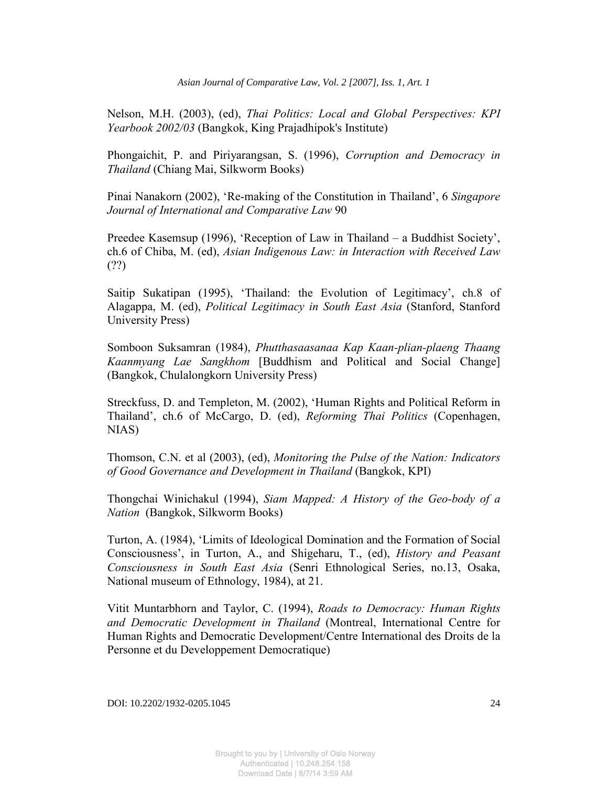Nelson, M.H. (2003), (ed), *Thai Politics: Local and Global Perspectives: KPI Yearbook 2002/03* (Bangkok, King Prajadhipok's Institute)

Phongaichit, P. and Piriyarangsan, S. (1996), *Corruption and Democracy in Thailand* (Chiang Mai, Silkworm Books)

Pinai Nanakorn (2002), 'Re-making of the Constitution in Thailand', 6 *Singapore Journal of International and Comparative Law* 90

Preedee Kasemsup (1996), 'Reception of Law in Thailand – a Buddhist Society', ch.6 of Chiba, M. (ed), *Asian Indigenous Law: in Interaction with Received Law* (??)

Saitip Sukatipan (1995), 'Thailand: the Evolution of Legitimacy', ch.8 of Alagappa, M. (ed), *Political Legitimacy in South East Asia* (Stanford, Stanford University Press)

Somboon Suksamran (1984), *Phutthasaasanaa Kap Kaan-plian-plaeng Thaang Kaanmyang Lae Sangkhom* [Buddhism and Political and Social Change] (Bangkok, Chulalongkorn University Press)

Streckfuss, D. and Templeton, M. (2002), 'Human Rights and Political Reform in Thailand', ch.6 of McCargo, D. (ed), *Reforming Thai Politics* (Copenhagen, NIAS)

Thomson, C.N. et al (2003), (ed), *Monitoring the Pulse of the Nation: Indicators of Good Governance and Development in Thailand* (Bangkok, KPI)

Thongchai Winichakul (1994), *Siam Mapped: A History of the Geo-body of a Nation* (Bangkok, Silkworm Books)

Turton, A. (1984), 'Limits of Ideological Domination and the Formation of Social Consciousness', in Turton, A., and Shigeharu, T., (ed), *History and Peasant Consciousness in South East Asia* (Senri Ethnological Series, no.13, Osaka, National museum of Ethnology, 1984), at 21.

Vitit Muntarbhorn and Taylor, C. (1994), *Roads to Democracy: Human Rights and Democratic Development in Thailand* (Montreal, International Centre for Human Rights and Democratic Development/Centre International des Droits de la Personne et du Developpement Democratique)